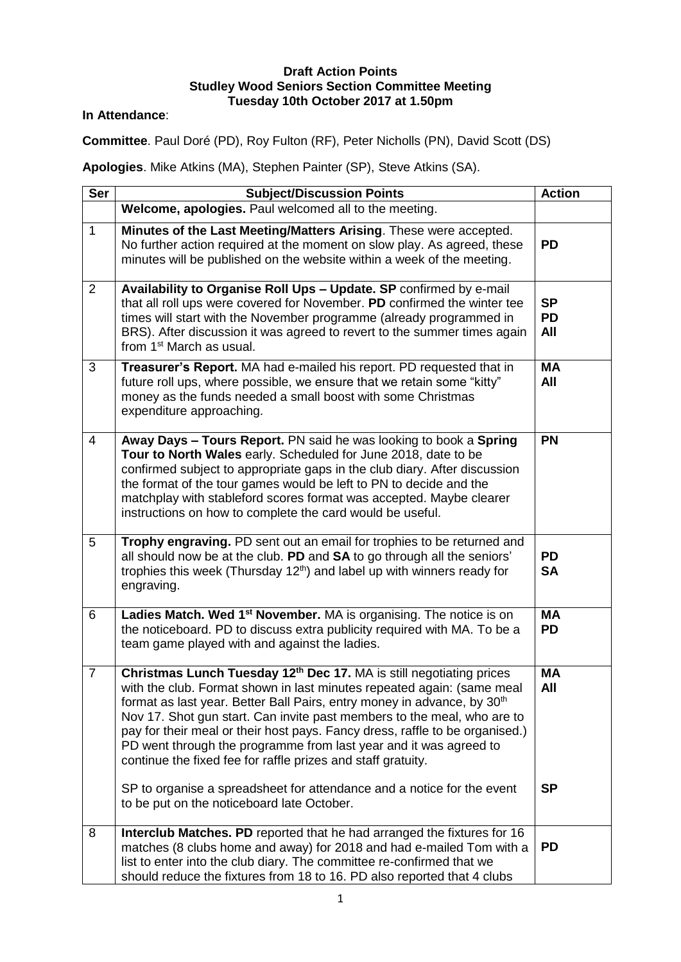## **Draft Action Points Studley Wood Seniors Section Committee Meeting Tuesday 10th October 2017 at 1.50pm**

## **In Attendance**:

**Committee**. Paul Doré (PD), Roy Fulton (RF), Peter Nicholls (PN), David Scott (DS)

**Apologies**. Mike Atkins (MA), Stephen Painter (SP), Steve Atkins (SA).

| <b>Ser</b>     | <b>Subject/Discussion Points</b>                                                                                                                                                                                                                                                                                                                                                                                                                                                                                                                 | <b>Action</b>                 |
|----------------|--------------------------------------------------------------------------------------------------------------------------------------------------------------------------------------------------------------------------------------------------------------------------------------------------------------------------------------------------------------------------------------------------------------------------------------------------------------------------------------------------------------------------------------------------|-------------------------------|
|                | Welcome, apologies. Paul welcomed all to the meeting.                                                                                                                                                                                                                                                                                                                                                                                                                                                                                            |                               |
| $\mathbf{1}$   | Minutes of the Last Meeting/Matters Arising. These were accepted.<br>No further action required at the moment on slow play. As agreed, these<br>minutes will be published on the website within a week of the meeting.                                                                                                                                                                                                                                                                                                                           | <b>PD</b>                     |
| $\overline{2}$ | Availability to Organise Roll Ups - Update. SP confirmed by e-mail<br>that all roll ups were covered for November. PD confirmed the winter tee<br>times will start with the November programme (already programmed in<br>BRS). After discussion it was agreed to revert to the summer times again<br>from 1 <sup>st</sup> March as usual.                                                                                                                                                                                                        | <b>SP</b><br><b>PD</b><br>All |
| 3              | Treasurer's Report. MA had e-mailed his report. PD requested that in<br>future roll ups, where possible, we ensure that we retain some "kitty"<br>money as the funds needed a small boost with some Christmas<br>expenditure approaching.                                                                                                                                                                                                                                                                                                        | <b>MA</b><br>All              |
| $\overline{4}$ | Away Days - Tours Report. PN said he was looking to book a Spring<br>Tour to North Wales early. Scheduled for June 2018, date to be<br>confirmed subject to appropriate gaps in the club diary. After discussion<br>the format of the tour games would be left to PN to decide and the<br>matchplay with stableford scores format was accepted. Maybe clearer<br>instructions on how to complete the card would be useful.                                                                                                                       | <b>PN</b>                     |
| 5              | Trophy engraving. PD sent out an email for trophies to be returned and<br>all should now be at the club. PD and SA to go through all the seniors'<br>trophies this week (Thursday $12th$ ) and label up with winners ready for<br>engraving.                                                                                                                                                                                                                                                                                                     | <b>PD</b><br><b>SA</b>        |
| 6              | Ladies Match. Wed 1 <sup>st</sup> November. MA is organising. The notice is on<br>the noticeboard. PD to discuss extra publicity required with MA. To be a<br>team game played with and against the ladies.                                                                                                                                                                                                                                                                                                                                      | <b>MA</b><br><b>PD</b>        |
| $\overline{7}$ | Christmas Lunch Tuesday 12 <sup>th</sup> Dec 17. MA is still negotiating prices<br>with the club. Format shown in last minutes repeated again: (same meal<br>format as last year. Better Ball Pairs, entry money in advance, by 30 <sup>th</sup><br>Nov 17. Shot gun start. Can invite past members to the meal, who are to<br>pay for their meal or their host pays. Fancy dress, raffle to be organised.)<br>PD went through the programme from last year and it was agreed to<br>continue the fixed fee for raffle prizes and staff gratuity. | <b>MA</b><br>All              |
|                | SP to organise a spreadsheet for attendance and a notice for the event<br>to be put on the noticeboard late October.                                                                                                                                                                                                                                                                                                                                                                                                                             | <b>SP</b>                     |
| 8              | Interclub Matches. PD reported that he had arranged the fixtures for 16<br>matches (8 clubs home and away) for 2018 and had e-mailed Tom with a<br>list to enter into the club diary. The committee re-confirmed that we<br>should reduce the fixtures from 18 to 16. PD also reported that 4 clubs                                                                                                                                                                                                                                              | <b>PD</b>                     |